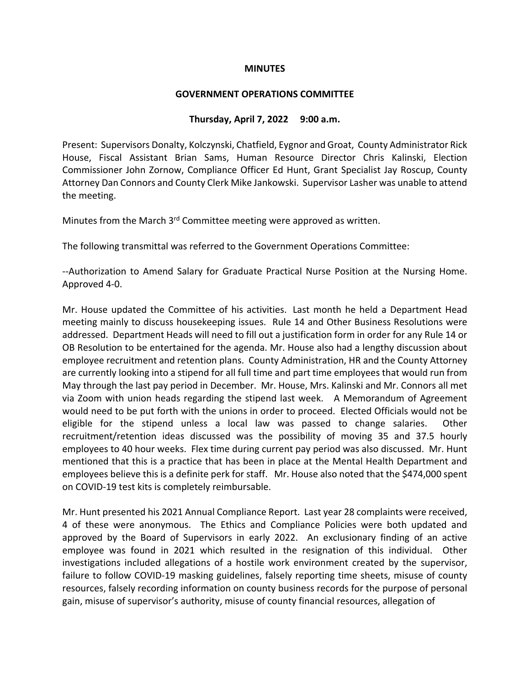### **MINUTES**

#### **GOVERNMENT OPERATIONS COMMITTEE**

### **Thursday, April 7, 2022 9:00 a.m.**

Present: Supervisors Donalty, Kolczynski, Chatfield, Eygnor and Groat, County Administrator Rick House, Fiscal Assistant Brian Sams, Human Resource Director Chris Kalinski, Election Commissioner John Zornow, Compliance Officer Ed Hunt, Grant Specialist Jay Roscup, County Attorney Dan Connors and County Clerk Mike Jankowski. Supervisor Lasher was unable to attend the meeting.

Minutes from the March 3<sup>rd</sup> Committee meeting were approved as written.

The following transmittal was referred to the Government Operations Committee:

--Authorization to Amend Salary for Graduate Practical Nurse Position at the Nursing Home. Approved 4-0.

Mr. House updated the Committee of his activities. Last month he held a Department Head meeting mainly to discuss housekeeping issues. Rule 14 and Other Business Resolutions were addressed. Department Heads will need to fill out a justification form in order for any Rule 14 or OB Resolution to be entertained for the agenda. Mr. House also had a lengthy discussion about employee recruitment and retention plans. County Administration, HR and the County Attorney are currently looking into a stipend for all full time and part time employees that would run from May through the last pay period in December. Mr. House, Mrs. Kalinski and Mr. Connors all met via Zoom with union heads regarding the stipend last week. A Memorandum of Agreement would need to be put forth with the unions in order to proceed. Elected Officials would not be eligible for the stipend unless a local law was passed to change salaries. Other recruitment/retention ideas discussed was the possibility of moving 35 and 37.5 hourly employees to 40 hour weeks. Flex time during current pay period was also discussed. Mr. Hunt mentioned that this is a practice that has been in place at the Mental Health Department and employees believe this is a definite perk for staff. Mr. House also noted that the \$474,000 spent on COVID-19 test kits is completely reimbursable.

Mr. Hunt presented his 2021 Annual Compliance Report. Last year 28 complaints were received, 4 of these were anonymous. The Ethics and Compliance Policies were both updated and approved by the Board of Supervisors in early 2022. An exclusionary finding of an active employee was found in 2021 which resulted in the resignation of this individual. Other investigations included allegations of a hostile work environment created by the supervisor, failure to follow COVID-19 masking guidelines, falsely reporting time sheets, misuse of county resources, falsely recording information on county business records for the purpose of personal gain, misuse of supervisor's authority, misuse of county financial resources, allegation of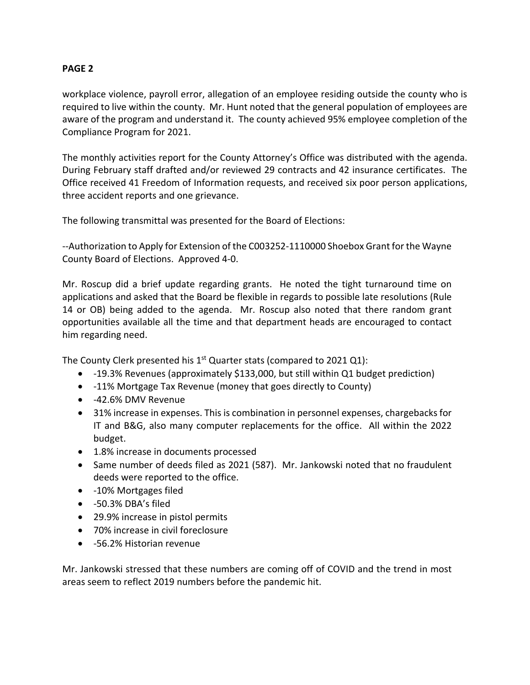# **PAGE 2**

workplace violence, payroll error, allegation of an employee residing outside the county who is required to live within the county. Mr. Hunt noted that the general population of employees are aware of the program and understand it. The county achieved 95% employee completion of the Compliance Program for 2021.

The monthly activities report for the County Attorney's Office was distributed with the agenda. During February staff drafted and/or reviewed 29 contracts and 42 insurance certificates. The Office received 41 Freedom of Information requests, and received six poor person applications, three accident reports and one grievance.

The following transmittal was presented for the Board of Elections:

--Authorization to Apply for Extension of the C003252-1110000 Shoebox Grant for the Wayne County Board of Elections. Approved 4-0.

Mr. Roscup did a brief update regarding grants. He noted the tight turnaround time on applications and asked that the Board be flexible in regards to possible late resolutions (Rule 14 or OB) being added to the agenda. Mr. Roscup also noted that there random grant opportunities available all the time and that department heads are encouraged to contact him regarding need.

The County Clerk presented his  $1<sup>st</sup>$  Quarter stats (compared to 2021 Q1):

- -19.3% Revenues (approximately \$133,000, but still within Q1 budget prediction)
- -11% Mortgage Tax Revenue (money that goes directly to County)
- -42.6% DMV Revenue
- 31% increase in expenses. This is combination in personnel expenses, chargebacks for IT and B&G, also many computer replacements for the office. All within the 2022 budget.
- 1.8% increase in documents processed
- Same number of deeds filed as 2021 (587). Mr. Jankowski noted that no fraudulent deeds were reported to the office.
- -10% Mortgages filed
- -50.3% DBA's filed
- 29.9% increase in pistol permits
- 70% increase in civil foreclosure
- -56.2% Historian revenue

Mr. Jankowski stressed that these numbers are coming off of COVID and the trend in most areas seem to reflect 2019 numbers before the pandemic hit.